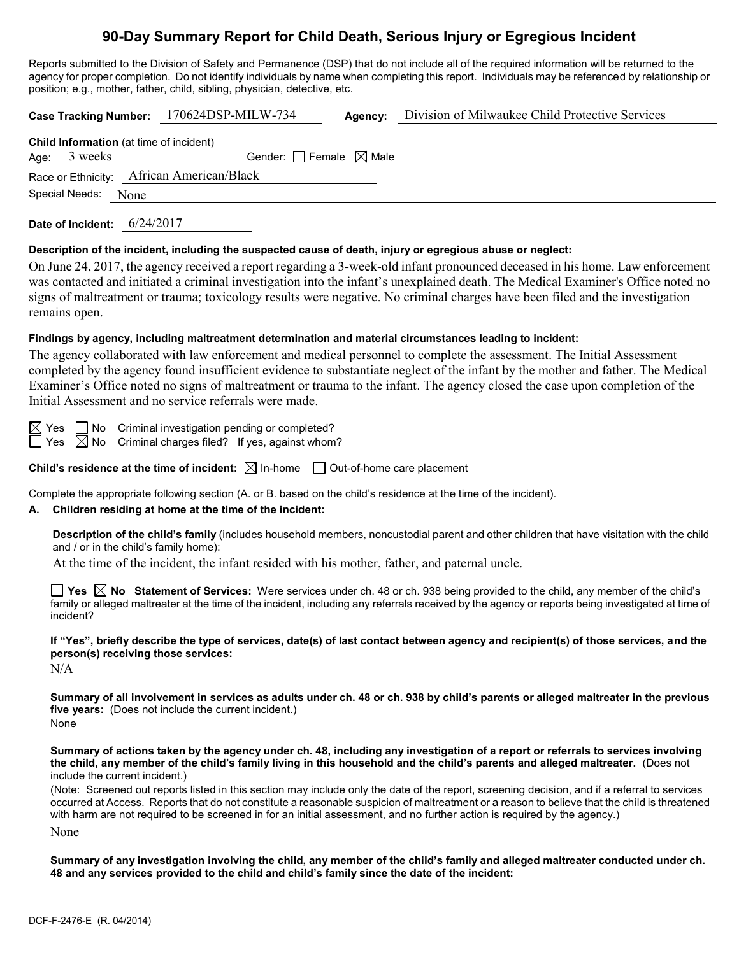# **90-Day Summary Report for Child Death, Serious Injury or Egregious Incident**

Reports submitted to the Division of Safety and Permanence (DSP) that do not include all of the required information will be returned to the agency for proper completion. Do not identify individuals by name when completing this report. Individuals may be referenced by relationship or position; e.g., mother, father, child, sibling, physician, detective, etc.

**Case Tracking Number:** 170624DSP-MILW-734 **Agency:** Division of Milwaukee Child Protective Services **Child Information** (at time of incident) Age:  $3$  weeks Gender: Female  $\boxtimes$  Male

Race or Ethnicity: African American/Black

Special Needs: None

**Date of Incident:** 6/24/2017

### **Description of the incident, including the suspected cause of death, injury or egregious abuse or neglect:**

On June 24, 2017, the agency received a report regarding a 3-week-old infant pronounced deceased in his home. Law enforcement was contacted and initiated a criminal investigation into the infant's unexplained death. The Medical Examiner's Office noted no signs of maltreatment or trauma; toxicology results were negative. No criminal charges have been filed and the investigation remains open.

### **Findings by agency, including maltreatment determination and material circumstances leading to incident:**

The agency collaborated with law enforcement and medical personnel to complete the assessment. The Initial Assessment completed by the agency found insufficient evidence to substantiate neglect of the infant by the mother and father. The Medical Examiner's Office noted no signs of maltreatment or trauma to the infant. The agency closed the case upon completion of the Initial Assessment and no service referrals were made.

 $\boxtimes$  Yes  $\Box$  No Criminal investigation pending or completed?

 $\Box$  Yes  $\boxtimes$  No Criminal charges filed? If yes, against whom?

**Child's residence at the time of incident:**  $\boxtimes$  In-home  $\Box$  Out-of-home care placement

Complete the appropriate following section (A. or B. based on the child's residence at the time of the incident).

## **A. Children residing at home at the time of the incident:**

**Description of the child's family** (includes household members, noncustodial parent and other children that have visitation with the child and / or in the child's family home):

At the time of the incident, the infant resided with his mother, father, and paternal uncle.

■ Yes △ No Statement of Services: Were services under ch. 48 or ch. 938 being provided to the child, any member of the child's family or alleged maltreater at the time of the incident, including any referrals received by the agency or reports being investigated at time of incident?

**If "Yes", briefly describe the type of services, date(s) of last contact between agency and recipient(s) of those services, and the person(s) receiving those services:**

N/A

**Summary of all involvement in services as adults under ch. 48 or ch. 938 by child's parents or alleged maltreater in the previous five years:** (Does not include the current incident.) None

**Summary of actions taken by the agency under ch. 48, including any investigation of a report or referrals to services involving the child, any member of the child's family living in this household and the child's parents and alleged maltreater.** (Does not include the current incident.)

(Note: Screened out reports listed in this section may include only the date of the report, screening decision, and if a referral to services occurred at Access. Reports that do not constitute a reasonable suspicion of maltreatment or a reason to believe that the child is threatened with harm are not required to be screened in for an initial assessment, and no further action is required by the agency.)

None

**Summary of any investigation involving the child, any member of the child's family and alleged maltreater conducted under ch. 48 and any services provided to the child and child's family since the date of the incident:**